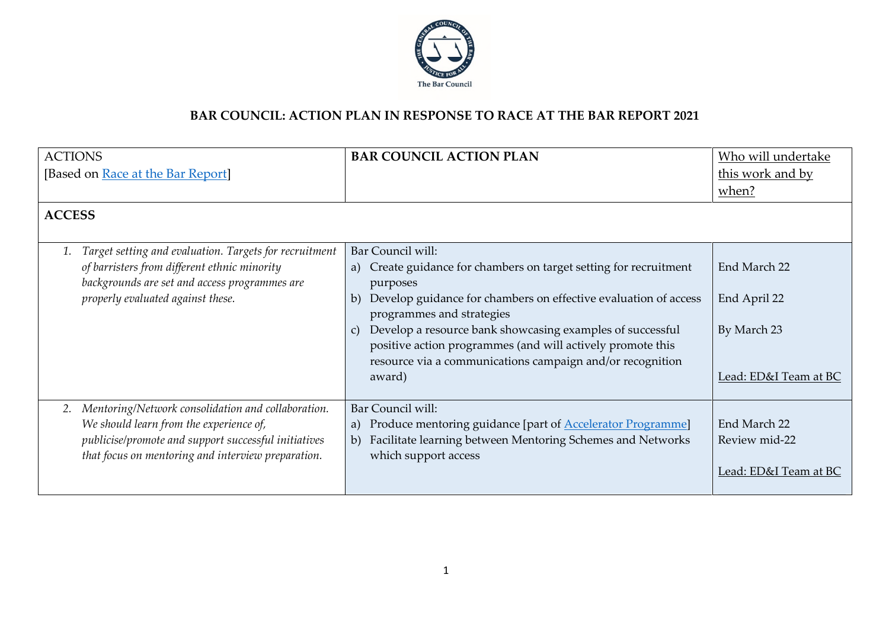

## **BAR COUNCIL: ACTION PLAN IN RESPONSE TO RACE AT THE BAR REPORT 2021**

| <b>ACTIONS</b>                                               | <b>BAR COUNCIL ACTION PLAN</b>                                                                                                                                                                          | Who will undertake                |
|--------------------------------------------------------------|---------------------------------------------------------------------------------------------------------------------------------------------------------------------------------------------------------|-----------------------------------|
| [Based on Race at the Bar Report]                            |                                                                                                                                                                                                         | this work and by                  |
|                                                              |                                                                                                                                                                                                         | when?                             |
| <b>ACCESS</b>                                                |                                                                                                                                                                                                         |                                   |
| Target setting and evaluation. Targets for recruitment<br>1. | Bar Council will:                                                                                                                                                                                       |                                   |
| of barristers from different ethnic minority                 | a) Create guidance for chambers on target setting for recruitment                                                                                                                                       | End March 22                      |
| backgrounds are set and access programmes are                | purposes                                                                                                                                                                                                |                                   |
| properly evaluated against these.                            | Develop guidance for chambers on effective evaluation of access<br>b)<br>programmes and strategies                                                                                                      | End April 22                      |
|                                                              | Develop a resource bank showcasing examples of successful<br>$\mathcal{C}$ )<br>positive action programmes (and will actively promote this<br>resource via a communications campaign and/or recognition | By March 23                       |
|                                                              | award)                                                                                                                                                                                                  | <u> Lead: ED&amp;I Team at BC</u> |
| 2. Mentoring/Network consolidation and collaboration.        | Bar Council will:                                                                                                                                                                                       |                                   |
| We should learn from the experience of,                      | Produce mentoring guidance [part of <b>Accelerator Programme</b> ]<br>a)                                                                                                                                | End March 22                      |
| publicise/promote and support successful initiatives         | Facilitate learning between Mentoring Schemes and Networks<br>b)                                                                                                                                        | Review mid-22                     |
| that focus on mentoring and interview preparation.           | which support access                                                                                                                                                                                    | Lead: ED&I Team at BC             |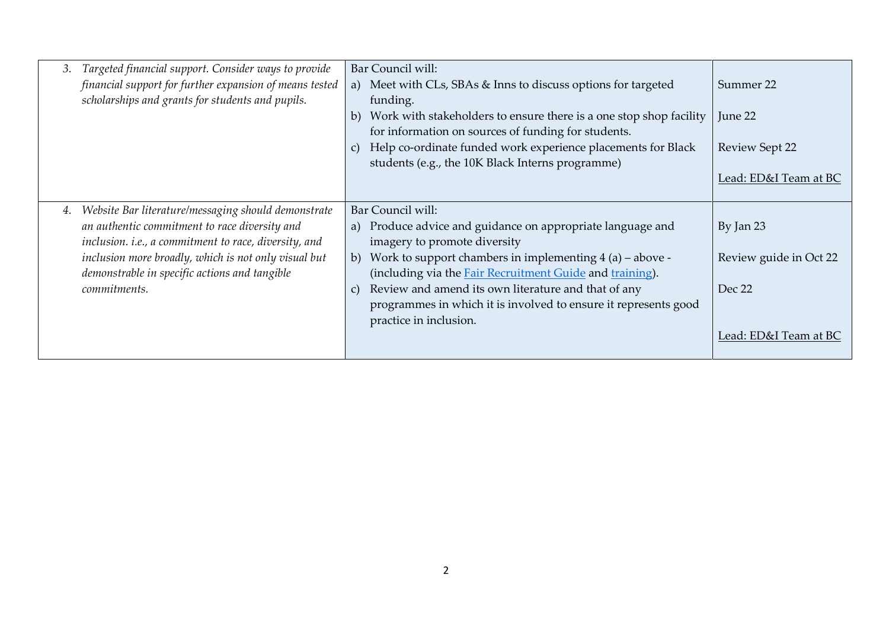| 3. | Targeted financial support. Consider ways to provide    | Bar Council will:                                                             |                        |
|----|---------------------------------------------------------|-------------------------------------------------------------------------------|------------------------|
|    | financial support for further expansion of means tested | a) Meet with CLs, SBAs & Inns to discuss options for targeted                 | Summer 22              |
|    | scholarships and grants for students and pupils.        | funding.                                                                      |                        |
|    |                                                         | Work with stakeholders to ensure there is a one stop shop facility<br>b)      | June 22                |
|    |                                                         | for information on sources of funding for students.                           |                        |
|    |                                                         | Help co-ordinate funded work experience placements for Black<br>$\mathcal{C}$ | Review Sept 22         |
|    |                                                         | students (e.g., the 10K Black Interns programme)                              |                        |
|    |                                                         |                                                                               | Lead: ED&I Team at BC  |
|    |                                                         |                                                                               |                        |
| 4. | Website Bar literature/messaging should demonstrate     | Bar Council will:                                                             |                        |
|    | an authentic commitment to race diversity and           | a) Produce advice and guidance on appropriate language and                    | By Jan 23              |
|    | inclusion. i.e., a commitment to race, diversity, and   | imagery to promote diversity                                                  |                        |
|    | inclusion more broadly, which is not only visual but    | b) Work to support chambers in implementing $4(a)$ – above -                  | Review guide in Oct 22 |
|    | demonstrable in specific actions and tangible           | (including via the <b>Fair Recruitment Guide</b> and <b>training</b> ).       |                        |
|    | commitments.                                            | Review and amend its own literature and that of any<br>$\mathcal{C}$ )        | Dec 22                 |
|    |                                                         | programmes in which it is involved to ensure it represents good               |                        |
|    |                                                         | practice in inclusion.                                                        |                        |
|    |                                                         |                                                                               | Lead: ED&I Team at BC  |
|    |                                                         |                                                                               |                        |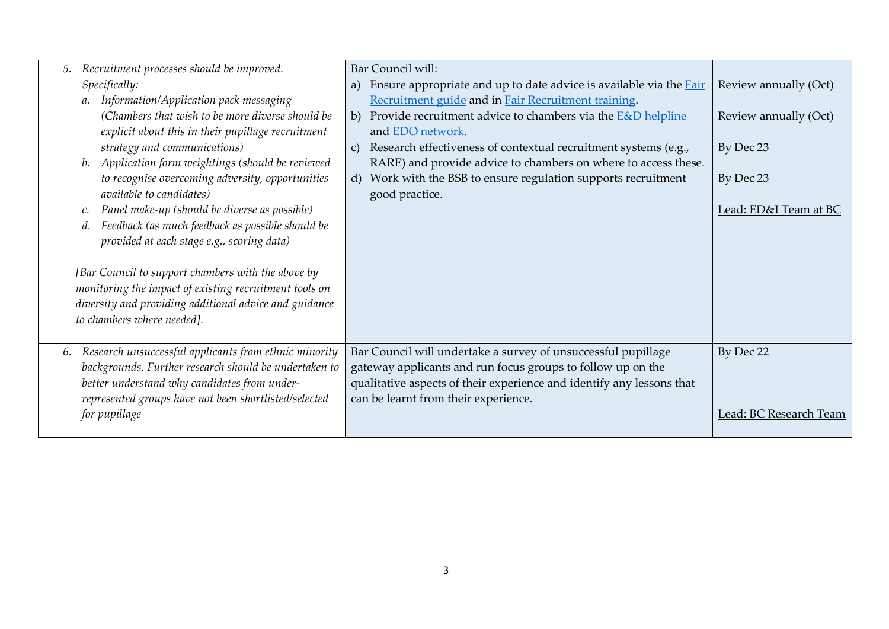| Recruitment processes should be improved.<br>5.                                                                                                                                                      | Bar Council will:                                                                |                        |
|------------------------------------------------------------------------------------------------------------------------------------------------------------------------------------------------------|----------------------------------------------------------------------------------|------------------------|
| Specifically:                                                                                                                                                                                        | Ensure appropriate and up to date advice is available via the <b>Fair</b><br>a)  | Review annually (Oct)  |
| Information/Application pack messaging<br>$a$ .                                                                                                                                                      | Recruitment guide and in Fair Recruitment training.                              |                        |
| (Chambers that wish to be more diverse should be                                                                                                                                                     | Provide recruitment advice to chambers via the <b>E&amp;D</b> helpline<br>b)     | Review annually (Oct)  |
| explicit about this in their pupillage recruitment                                                                                                                                                   | and EDO network.                                                                 |                        |
| strategy and communications)                                                                                                                                                                         | Research effectiveness of contextual recruitment systems (e.g.,<br>$\mathcal{C}$ | By Dec 23              |
| b. Application form weightings (should be reviewed                                                                                                                                                   | RARE) and provide advice to chambers on where to access these.                   |                        |
| to recognise overcoming adversity, opportunities                                                                                                                                                     | d) Work with the BSB to ensure regulation supports recruitment                   | By Dec 23              |
| available to candidates)                                                                                                                                                                             | good practice.                                                                   |                        |
| Panel make-up (should be diverse as possible)                                                                                                                                                        |                                                                                  | Lead: ED&I Team at BC  |
| Feedback (as much feedback as possible should be<br>d.                                                                                                                                               |                                                                                  |                        |
| provided at each stage e.g., scoring data)                                                                                                                                                           |                                                                                  |                        |
| [Bar Council to support chambers with the above by<br>monitoring the impact of existing recruitment tools on<br>diversity and providing additional advice and guidance<br>to chambers where needed]. |                                                                                  |                        |
| Research unsuccessful applicants from ethnic minority<br>6.                                                                                                                                          | Bar Council will undertake a survey of unsuccessful pupillage                    | By Dec 22              |
| backgrounds. Further research should be undertaken to                                                                                                                                                | gateway applicants and run focus groups to follow up on the                      |                        |
| better understand why candidates from under-                                                                                                                                                         | qualitative aspects of their experience and identify any lessons that            |                        |
| represented groups have not been shortlisted/selected                                                                                                                                                | can be learnt from their experience.                                             |                        |
| for pupillage                                                                                                                                                                                        |                                                                                  | Lead: BC Research Team |
|                                                                                                                                                                                                      |                                                                                  |                        |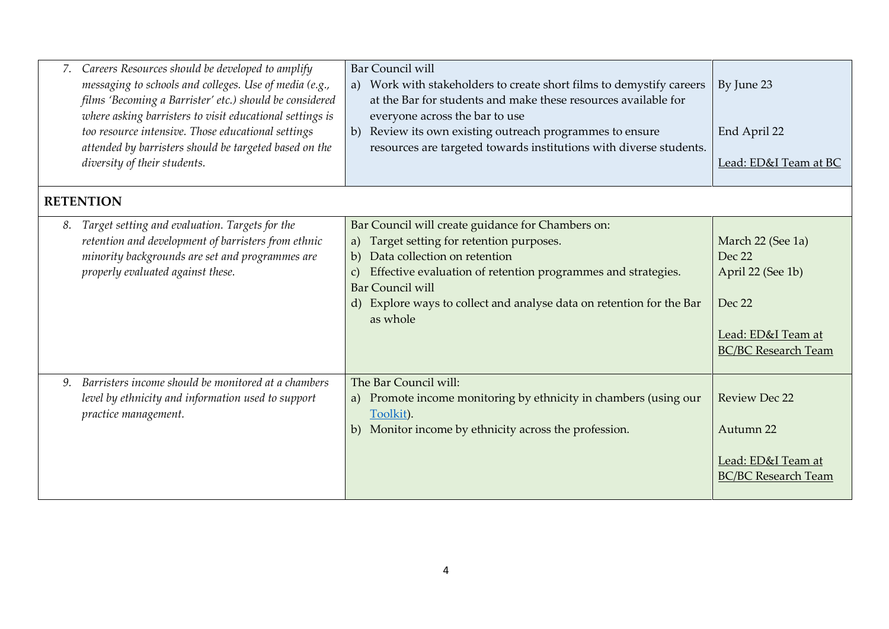|    | Careers Resources should be developed to amplify<br>messaging to schools and colleges. Use of media (e.g.,<br>films 'Becoming a Barrister' etc.) should be considered<br>where asking barristers to visit educational settings is<br>too resource intensive. Those educational settings<br>attended by barristers should be targeted based on the<br>diversity of their students. | <b>Bar Council will</b><br>Work with stakeholders to create short films to demystify careers<br>a)<br>at the Bar for students and make these resources available for<br>everyone across the bar to use<br>b) Review its own existing outreach programmes to ensure<br>resources are targeted towards institutions with diverse students. | By June 23<br>End April 22<br>Lead: ED&I Team at BC                                                            |
|----|-----------------------------------------------------------------------------------------------------------------------------------------------------------------------------------------------------------------------------------------------------------------------------------------------------------------------------------------------------------------------------------|------------------------------------------------------------------------------------------------------------------------------------------------------------------------------------------------------------------------------------------------------------------------------------------------------------------------------------------|----------------------------------------------------------------------------------------------------------------|
|    | <b>RETENTION</b>                                                                                                                                                                                                                                                                                                                                                                  |                                                                                                                                                                                                                                                                                                                                          |                                                                                                                |
| 8. | Target setting and evaluation. Targets for the<br>retention and development of barristers from ethnic<br>minority backgrounds are set and programmes are<br>properly evaluated against these.                                                                                                                                                                                     | Bar Council will create guidance for Chambers on:<br>Target setting for retention purposes.<br>a)<br>Data collection on retention<br>b)<br>Effective evaluation of retention programmes and strategies.<br>C)<br><b>Bar Council will</b><br>d) Explore ways to collect and analyse data on retention for the Bar<br>as whole             | March 22 (See 1a)<br>Dec 22<br>April 22 (See 1b)<br>Dec 22<br>Lead: ED&I Team at<br><b>BC/BC Research Team</b> |
| 9. | Barristers income should be monitored at a chambers<br>level by ethnicity and information used to support<br>practice management.                                                                                                                                                                                                                                                 | The Bar Council will:<br>a) Promote income monitoring by ethnicity in chambers (using our<br>Toolkit).<br>b) Monitor income by ethnicity across the profession.                                                                                                                                                                          | <b>Review Dec 22</b><br>Autumn 22<br>Lead: ED&I Team at<br><b>BC/BC Research Team</b>                          |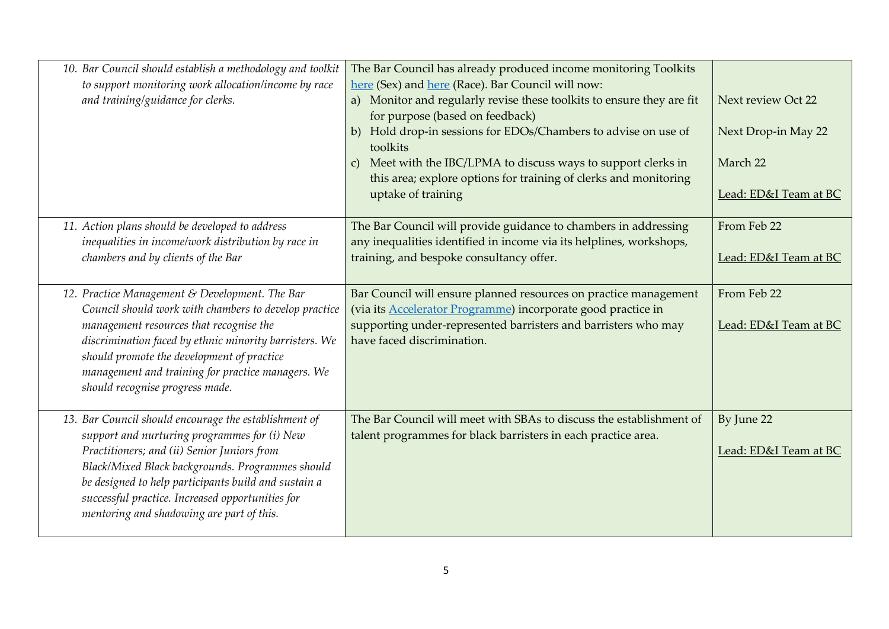| 10. Bar Council should establish a methodology and toolkit<br>to support monitoring work allocation/income by race<br>and training/guidance for clerks.                                                                                                                                                                                                           | The Bar Council has already produced income monitoring Toolkits<br>here (Sex) and here (Race). Bar Council will now:<br>a) Monitor and regularly revise these toolkits to ensure they are fit<br>for purpose (based on feedback)<br>b) Hold drop-in sessions for EDOs/Chambers to advise on use of<br>toolkits<br>c) Meet with the IBC/LPMA to discuss ways to support clerks in<br>this area; explore options for training of clerks and monitoring<br>uptake of training | Next review Oct 22<br>Next Drop-in May 22<br>March 22<br>Lead: ED&I Team at BC |
|-------------------------------------------------------------------------------------------------------------------------------------------------------------------------------------------------------------------------------------------------------------------------------------------------------------------------------------------------------------------|----------------------------------------------------------------------------------------------------------------------------------------------------------------------------------------------------------------------------------------------------------------------------------------------------------------------------------------------------------------------------------------------------------------------------------------------------------------------------|--------------------------------------------------------------------------------|
| 11. Action plans should be developed to address<br>inequalities in income/work distribution by race in<br>chambers and by clients of the Bar                                                                                                                                                                                                                      | The Bar Council will provide guidance to chambers in addressing<br>any inequalities identified in income via its helplines, workshops,<br>training, and bespoke consultancy offer.                                                                                                                                                                                                                                                                                         | From Feb 22<br>Lead: ED&I Team at BC                                           |
| 12. Practice Management & Development. The Bar<br>Council should work with chambers to develop practice<br>management resources that recognise the<br>discrimination faced by ethnic minority barristers. We<br>should promote the development of practice<br>management and training for practice managers. We<br>should recognise progress made.                | Bar Council will ensure planned resources on practice management<br>(via its Accelerator Programme) incorporate good practice in<br>supporting under-represented barristers and barristers who may<br>have faced discrimination.                                                                                                                                                                                                                                           | From Feb 22<br>Lead: ED&I Team at BC                                           |
| 13. Bar Council should encourage the establishment of<br>support and nurturing programmes for (i) New<br>Practitioners; and (ii) Senior Juniors from<br>Black/Mixed Black backgrounds. Programmes should<br>be designed to help participants build and sustain a<br>successful practice. Increased opportunities for<br>mentoring and shadowing are part of this. | The Bar Council will meet with SBAs to discuss the establishment of<br>talent programmes for black barristers in each practice area.                                                                                                                                                                                                                                                                                                                                       | By June 22<br>Lead: ED&I Team at BC                                            |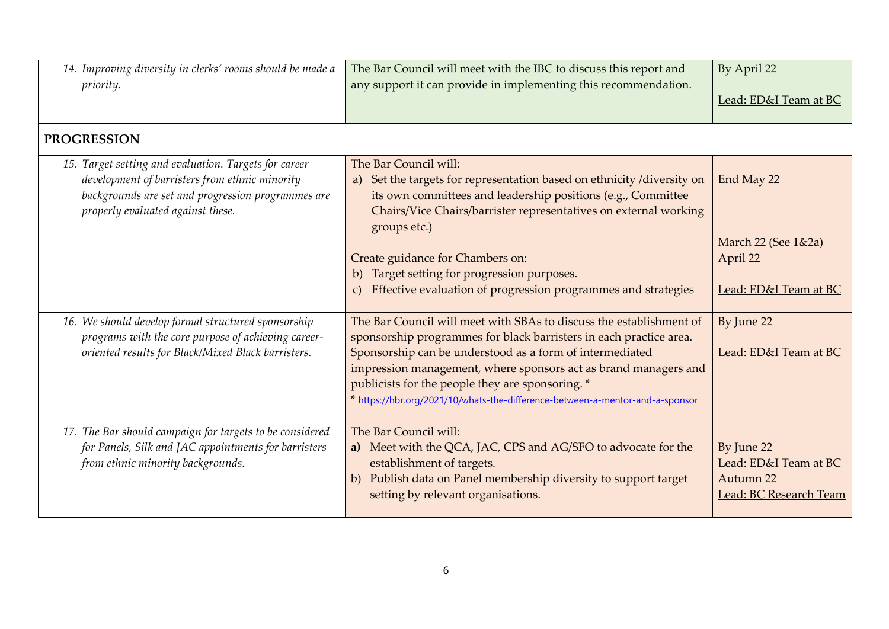| 14. Improving diversity in clerks' rooms should be made a<br>priority.                                                                                                                             | The Bar Council will meet with the IBC to discuss this report and<br>any support it can provide in implementing this recommendation.                                                                                                                                                                                                                                                                          | By April 22<br>Lead: ED&I Team at BC                                       |
|----------------------------------------------------------------------------------------------------------------------------------------------------------------------------------------------------|---------------------------------------------------------------------------------------------------------------------------------------------------------------------------------------------------------------------------------------------------------------------------------------------------------------------------------------------------------------------------------------------------------------|----------------------------------------------------------------------------|
| <b>PROGRESSION</b>                                                                                                                                                                                 |                                                                                                                                                                                                                                                                                                                                                                                                               |                                                                            |
| 15. Target setting and evaluation. Targets for career<br>development of barristers from ethnic minority<br>backgrounds are set and progression programmes are<br>properly evaluated against these. | The Bar Council will:<br>a) Set the targets for representation based on ethnicity /diversity on<br>its own committees and leadership positions (e.g., Committee<br>Chairs/Vice Chairs/barrister representatives on external working<br>groups etc.)                                                                                                                                                           | End May 22<br>March 22 (See 1&2a)                                          |
|                                                                                                                                                                                                    | Create guidance for Chambers on:<br>Target setting for progression purposes.<br>b)<br>Effective evaluation of progression programmes and strategies<br>$\mathcal{C}$                                                                                                                                                                                                                                          | April 22<br>Lead: ED&I Team at BC                                          |
| 16. We should develop formal structured sponsorship<br>programs with the core purpose of achieving career-<br>oriented results for Black/Mixed Black barristers.                                   | The Bar Council will meet with SBAs to discuss the establishment of<br>sponsorship programmes for black barristers in each practice area.<br>Sponsorship can be understood as a form of intermediated<br>impression management, where sponsors act as brand managers and<br>publicists for the people they are sponsoring. *<br>* https://hbr.org/2021/10/whats-the-difference-between-a-mentor-and-a-sponsor | By June 22<br>Lead: ED&I Team at BC                                        |
| 17. The Bar should campaign for targets to be considered<br>for Panels, Silk and JAC appointments for barristers<br>from ethnic minority backgrounds.                                              | The Bar Council will:<br>a) Meet with the QCA, JAC, CPS and AG/SFO to advocate for the<br>establishment of targets.<br>Publish data on Panel membership diversity to support target<br>b)<br>setting by relevant organisations.                                                                                                                                                                               | By June 22<br>Lead: ED&I Team at BC<br>Autumn 22<br>Lead: BC Research Team |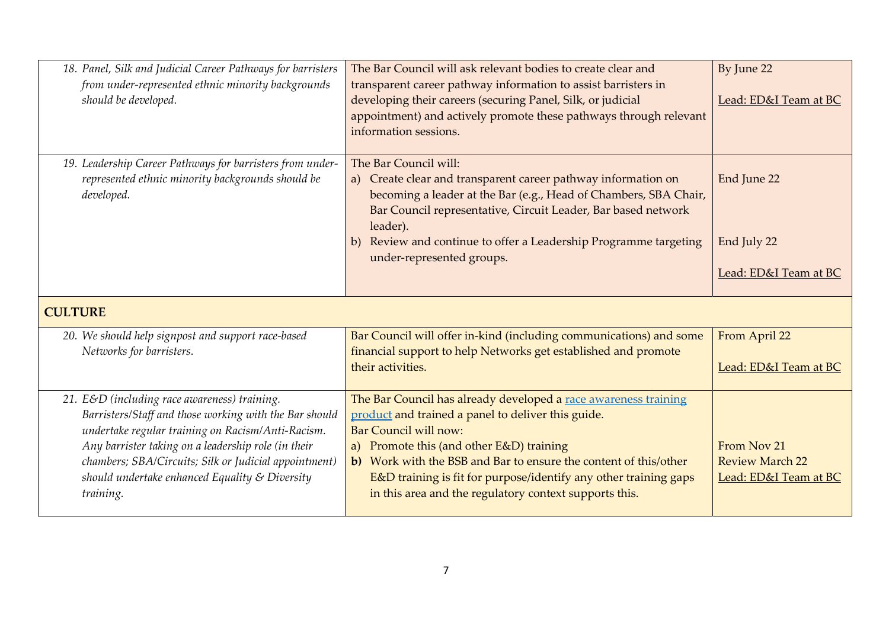| 18. Panel, Silk and Judicial Career Pathways for barristers<br>from under-represented ethnic minority backgrounds<br>should be developed.                                                                                                                                                                                                     | The Bar Council will ask relevant bodies to create clear and<br>transparent career pathway information to assist barristers in<br>developing their careers (securing Panel, Silk, or judicial<br>appointment) and actively promote these pathways through relevant<br>information sessions.                                                                                                  | By June 22<br>Lead: ED&I Team at BC                            |
|-----------------------------------------------------------------------------------------------------------------------------------------------------------------------------------------------------------------------------------------------------------------------------------------------------------------------------------------------|----------------------------------------------------------------------------------------------------------------------------------------------------------------------------------------------------------------------------------------------------------------------------------------------------------------------------------------------------------------------------------------------|----------------------------------------------------------------|
| 19. Leadership Career Pathways for barristers from under-<br>represented ethnic minority backgrounds should be<br>developed.                                                                                                                                                                                                                  | The Bar Council will:<br>a) Create clear and transparent career pathway information on<br>becoming a leader at the Bar (e.g., Head of Chambers, SBA Chair,<br>Bar Council representative, Circuit Leader, Bar based network<br>leader).                                                                                                                                                      | End June 22<br>End July 22                                     |
|                                                                                                                                                                                                                                                                                                                                               | b) Review and continue to offer a Leadership Programme targeting<br>under-represented groups.                                                                                                                                                                                                                                                                                                | Lead: ED&I Team at BC                                          |
| <b>CULTURE</b>                                                                                                                                                                                                                                                                                                                                |                                                                                                                                                                                                                                                                                                                                                                                              |                                                                |
| 20. We should help signpost and support race-based<br>Networks for barristers.                                                                                                                                                                                                                                                                | Bar Council will offer in-kind (including communications) and some<br>financial support to help Networks get established and promote<br>their activities.                                                                                                                                                                                                                                    | From April 22<br>Lead: ED&I Team at BC                         |
| 21. E&D (including race awareness) training.<br>Barristers/Staff and those working with the Bar should<br>undertake regular training on Racism/Anti-Racism.<br>Any barrister taking on a leadership role (in their<br>chambers; SBA/Circuits; Silk or Judicial appointment)<br>should undertake enhanced Equality $\&$ Diversity<br>training. | The Bar Council has already developed a race awareness training<br>product and trained a panel to deliver this guide.<br>Bar Council will now:<br>a) Promote this (and other E&D) training<br>b) Work with the BSB and Bar to ensure the content of this/other<br>E&D training is fit for purpose/identify any other training gaps<br>in this area and the regulatory context supports this. | From Nov 21<br><b>Review March 22</b><br>Lead: ED&I Team at BC |